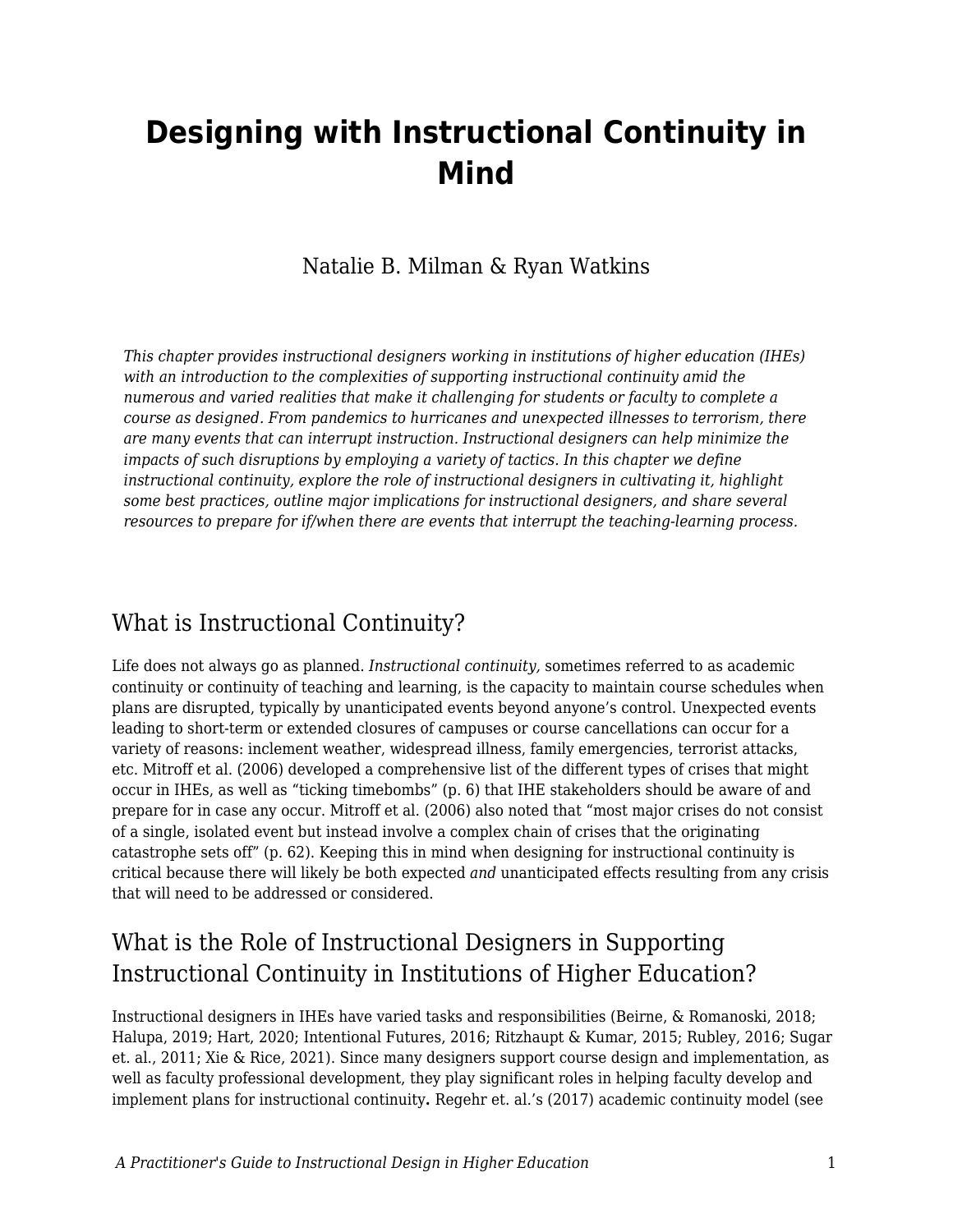# **Designing with Instructional Continuity in Mind**

### Natalie B. Milman & Ryan Watkins

*This chapter provides instructional designers working in institutions of higher education (IHEs) with an introduction to the complexities of supporting instructional continuity amid the numerous and varied realities that make it challenging for students or faculty to complete a course as designed. From pandemics to hurricanes and unexpected illnesses to terrorism, there are many events that can interrupt instruction. Instructional designers can help minimize the impacts of such disruptions by employing a variety of tactics. In this chapter we define instructional continuity, explore the role of instructional designers in cultivating it, highlight some best practices, outline major implications for instructional designers, and share several resources to prepare for if/when there are events that interrupt the teaching-learning process.*

### What is Instructional Continuity?

Life does not always go as planned. *Instructional continuity,* sometimes referred to as academic continuity or continuity of teaching and learning, is the capacity to maintain course schedules when plans are disrupted, typically by unanticipated events beyond anyone's control. Unexpected events leading to short-term or extended closures of campuses or course cancellations can occur for a variety of reasons: inclement weather, widespread illness, family emergencies, terrorist attacks, etc. Mitroff et al. (2006) developed a comprehensive list of the different types of crises that might occur in IHEs, as well as "ticking timebombs" (p. 6) that IHE stakeholders should be aware of and prepare for in case any occur. Mitroff et al. (2006) also noted that "most major crises do not consist of a single, isolated event but instead involve a complex chain of crises that the originating catastrophe sets off" (p. 62). Keeping this in mind when designing for instructional continuity is critical because there will likely be both expected *and* unanticipated effects resulting from any crisis that will need to be addressed or considered.

### What is the Role of Instructional Designers in Supporting Instructional Continuity in Institutions of Higher Education?

Instructional designers in IHEs have varied tasks and responsibilities (Beirne, & Romanoski, 2018; Halupa, 2019; Hart, 2020; Intentional Futures, 2016; Ritzhaupt & Kumar, 2015; Rubley, 2016; Sugar et. al., 2011; Xie & Rice, 2021). Since many designers support course design and implementation, as well as faculty professional development, they play significant roles in helping faculty develop and implement plans for instructional continuity**.** Regehr et. al.'s (2017) academic continuity model (see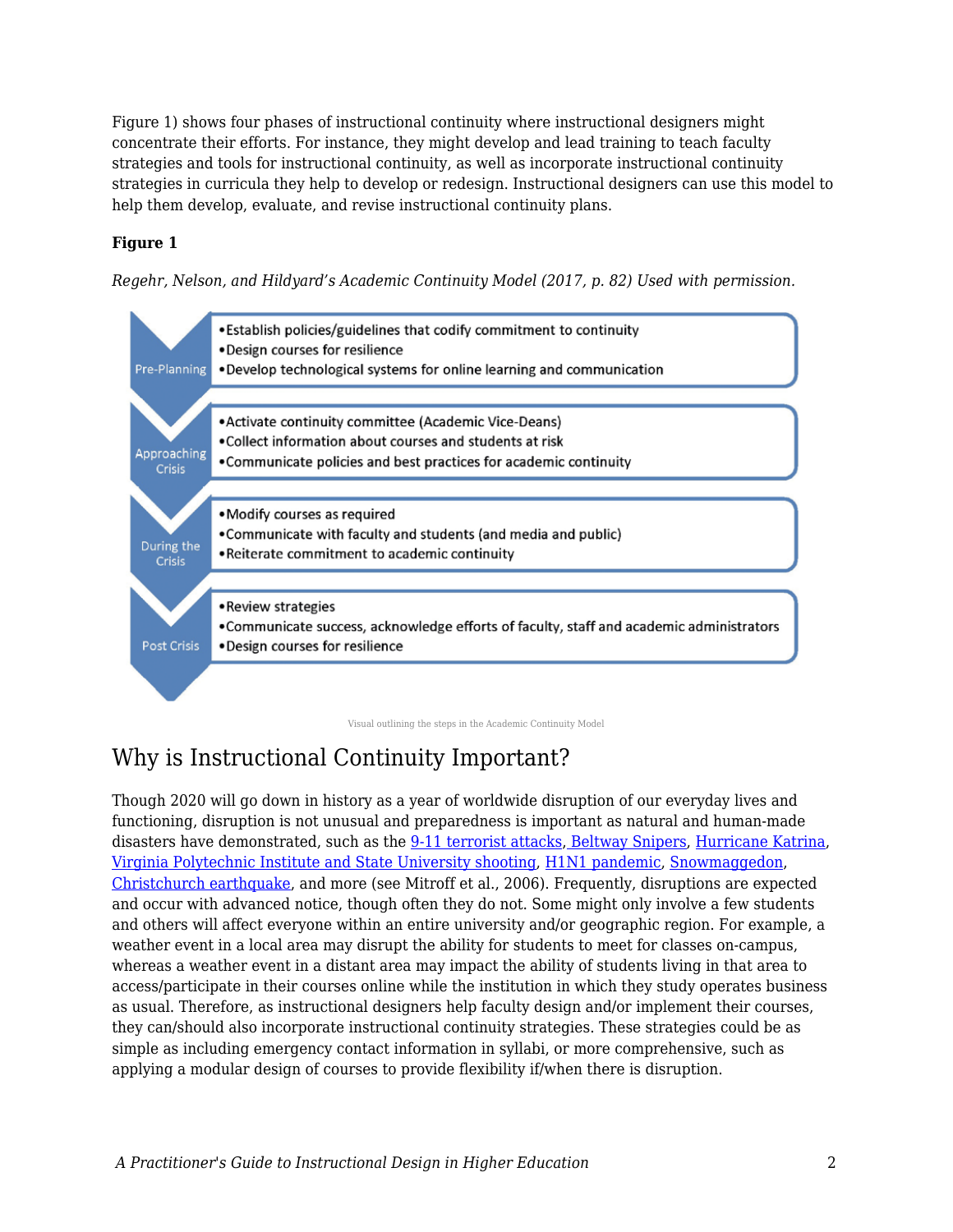Figure 1) shows four phases of instructional continuity where instructional designers might concentrate their efforts. For instance, they might develop and lead training to teach faculty strategies and tools for instructional continuity, as well as incorporate instructional continuity strategies in curricula they help to develop or redesign. Instructional designers can use this model to help them develop, evaluate, and revise instructional continuity plans.

### **Figure 1**

*Regehr, Nelson, and Hildyard's Academic Continuity Model (2017, p. 82) Used with permission.* 



Visual outlining the steps in the Academic Continuity Model

# Why is Instructional Continuity Important?

Though 2020 will go down in history as a year of worldwide disruption of our everyday lives and functioning, disruption is not unusual and preparedness is important as natural and human-made disasters have demonstrated, such as the [9-11 terrorist attacks](https://www.britannica.com/event/September-11-attacks)[, Beltway Snipers](https://www.fbi.gov/history/famous-cases/beltway-snipers), [Hurricane Katrina,](https://www.weather.gov/mob/katrina#:~:text=Hurricane%20Katrina%20(August%202005)%20became,by%20Hurricane%20Andrew%20from%201992.) [Virginia Polytechnic Institute and State University shooting,](https://www.britannica.com/event/Virginia-Tech-shooting) [H1N1 pandemic,](https://www.cdc.gov/flu/pandemic-resources/2009-h1n1-pandemic.html) [Snowmaggedon](https://www.washingtonpost.com/weather/2019/02/05/remembering-s-snowmageddon-images-scenes/), [Christchurch earthquake,](https://nzhistory.govt.nz/page/christchurch-earthquake-kills-185) and more (see Mitroff et al., 2006). Frequently, disruptions are expected and occur with advanced notice, though often they do not. Some might only involve a few students and others will affect everyone within an entire university and/or geographic region. For example, a weather event in a local area may disrupt the ability for students to meet for classes on-campus, whereas a weather event in a distant area may impact the ability of students living in that area to access/participate in their courses online while the institution in which they study operates business as usual. Therefore, as instructional designers help faculty design and/or implement their courses, they can/should also incorporate instructional continuity strategies. These strategies could be as simple as including emergency contact information in syllabi, or more comprehensive, such as applying a modular design of courses to provide flexibility if/when there is disruption.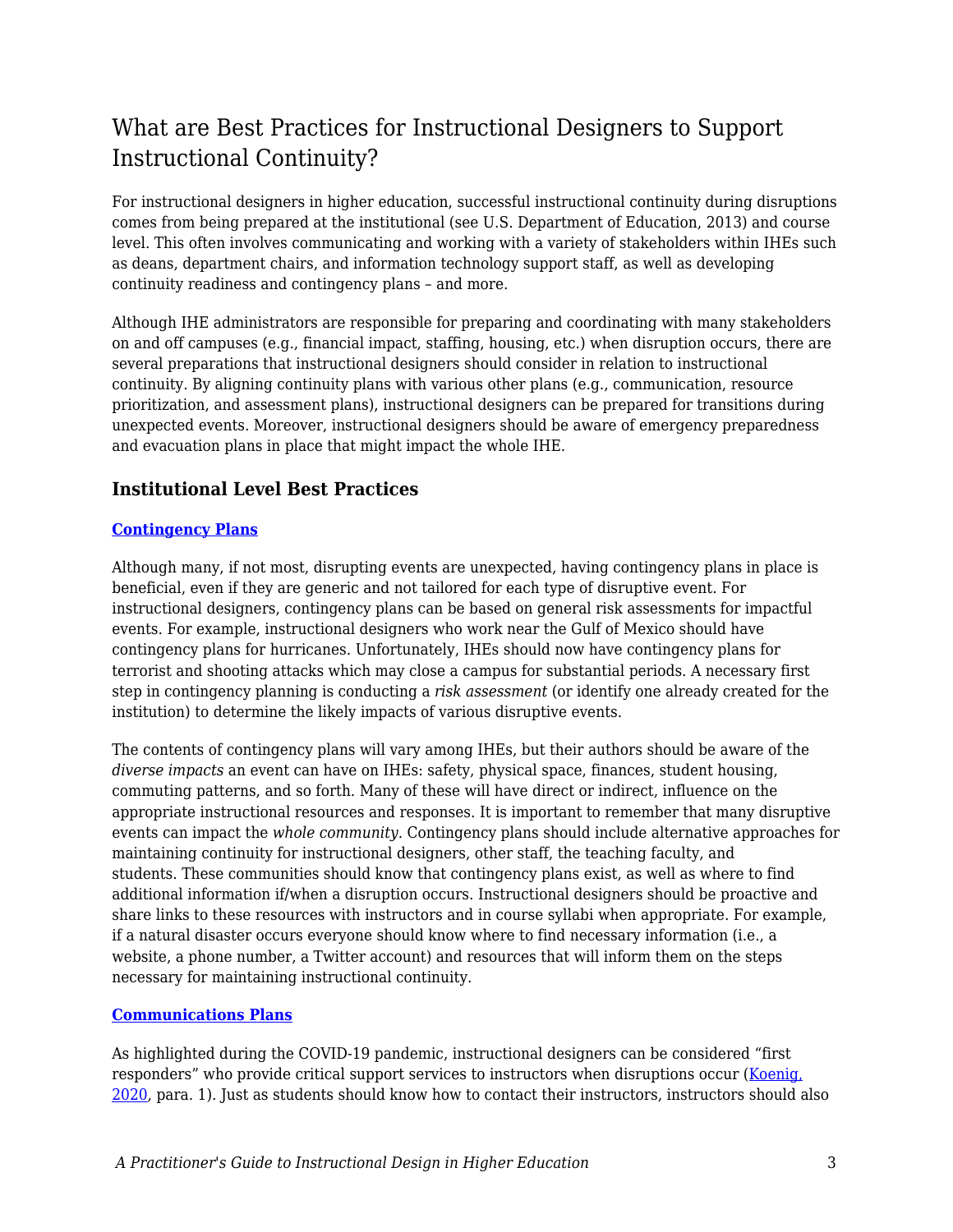# What are Best Practices for Instructional Designers to Support Instructional Continuity?

For instructional designers in higher education, successful instructional continuity during disruptions comes from being prepared at the institutional (see U.S. Department of Education, 2013) and course level. This often involves communicating and working with a variety of stakeholders within IHEs such as deans, department chairs, and information technology support staff, as well as developing continuity readiness and contingency plans – and more.

Although IHE administrators are responsible for preparing and coordinating with many stakeholders on and off campuses (e.g., financial impact, staffing, housing, etc.) when disruption occurs, there are several preparations that instructional designers should consider in relation to instructional continuity. By aligning continuity plans with various other plans (e.g., communication, resource prioritization, and assessment plans), instructional designers can be prepared for transitions during unexpected events. Moreover, instructional designers should be aware of emergency preparedness and evacuation plans in place that might impact the whole IHE.

### **Institutional Level Best Practices**

#### **[Contingency Plans](https://er.educause.edu/blogs/2016/8/best-of-the-best-key-steps-for-successful-contingency-plans)**

Although many, if not most, disrupting events are unexpected, having contingency plans in place is beneficial, even if they are generic and not tailored for each type of disruptive event. For instructional designers, contingency plans can be based on general risk assessments for impactful events. For example, instructional designers who work near the Gulf of Mexico should have contingency plans for hurricanes. Unfortunately, IHEs should now have contingency plans for terrorist and shooting attacks which may close a campus for substantial periods. A necessary first step in contingency planning is conducting a *risk assessment* (or identify one already created for the institution) to determine the likely impacts of various disruptive events.

The contents of contingency plans will vary among IHEs, but their authors should be aware of the *diverse impacts* an event can have on IHEs: safety, physical space, finances, student housing, commuting patterns, and so forth. Many of these will have direct or indirect, influence on the appropriate instructional resources and responses. It is important to remember that many disruptive events can impact the *whole community*. Contingency plans should include alternative approaches for maintaining continuity for instructional designers, other staff, the teaching faculty, and students. These communities should know that contingency plans exist, as well as where to find additional information if/when a disruption occurs. Instructional designers should be proactive and share links to these resources with instructors and in course syllabi when appropriate. For example, if a natural disaster occurs everyone should know where to find necessary information (i.e., a website, a phone number, a Twitter account) and resources that will inform them on the steps necessary for maintaining instructional continuity.

#### **[Communications Plans](https://www.insidehighered.com/blogs/call-action-marketing-and-communications-higher-education/case-emergency)**

As highlighted during the COVID-19 pandemic, instructional designers can be considered "first responders" who provide critical support services to instructors when disruptions occur [\(Koenig,](https://www.edsurge.com/news/2020-03-19-meet-the-instructional-design-first-responders-helping-faculty-teach-in-an-emergency) [2020,](https://www.edsurge.com/news/2020-03-19-meet-the-instructional-design-first-responders-helping-faculty-teach-in-an-emergency) para. 1). Just as students should know how to contact their instructors, instructors should also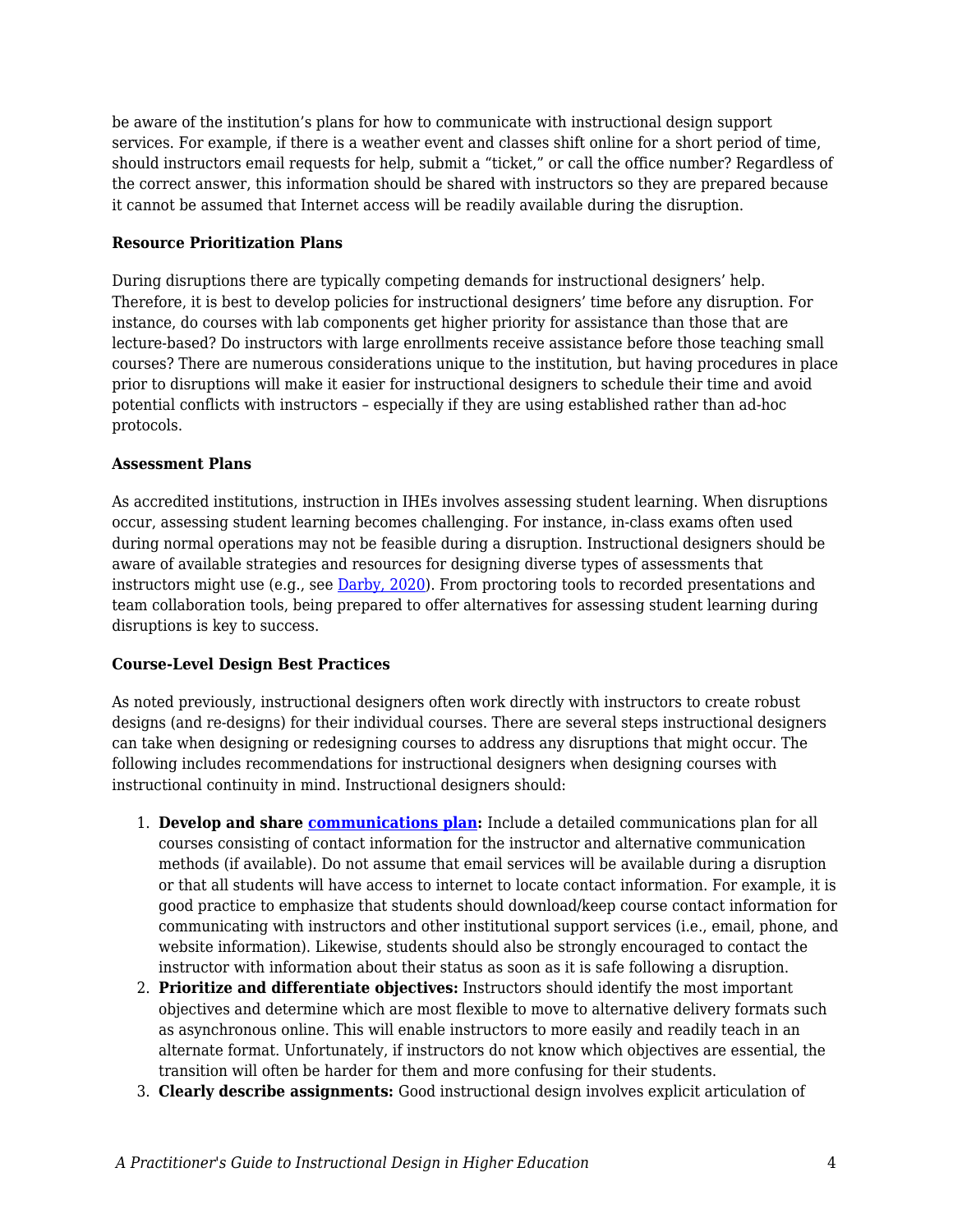be aware of the institution's plans for how to communicate with instructional design support services. For example, if there is a weather event and classes shift online for a short period of time, should instructors email requests for help, submit a "ticket," or call the office number? Regardless of the correct answer, this information should be shared with instructors so they are prepared because it cannot be assumed that Internet access will be readily available during the disruption.

#### **Resource Prioritization Plans**

During disruptions there are typically competing demands for instructional designers' help. Therefore, it is best to develop policies for instructional designers' time before any disruption. For instance, do courses with lab components get higher priority for assistance than those that are lecture-based? Do instructors with large enrollments receive assistance before those teaching small courses? There are numerous considerations unique to the institution, but having procedures in place prior to disruptions will make it easier for instructional designers to schedule their time and avoid potential conflicts with instructors – especially if they are using established rather than ad-hoc protocols.

#### **Assessment Plans**

As accredited institutions, instruction in IHEs involves assessing student learning. When disruptions occur, assessing student learning becomes challenging. For instance, in-class exams often used during normal operations may not be feasible during a disruption. Instructional designers should be aware of available strategies and resources for designing diverse types of assessments that instructors might use (e.g., see [Darby, 2020](https://www.chronicle.com/article/7-ways-to-assess-students-online-and-minimize-cheating)). From proctoring tools to recorded presentations and team collaboration tools, being prepared to offer alternatives for assessing student learning during disruptions is key to success.

#### **Course-Level Design Best Practices**

As noted previously, instructional designers often work directly with instructors to create robust designs (and re-designs) for their individual courses. There are several steps instructional designers can take when designing or redesigning courses to address any disruptions that might occur. The following includes recommendations for instructional designers when designing courses with instructional continuity in mind. Instructional designers should:

- 1. **Develop and share [communications plan:](https://www.uscupstate.edu/faculty-staff/faculty-tool-kit/keep-on-teaching/establishing-an-instructional-communication-plan/)** Include a detailed communications plan for all courses consisting of contact information for the instructor and alternative communication methods (if available). Do not assume that email services will be available during a disruption or that all students will have access to internet to locate contact information. For example, it is good practice to emphasize that students should download/keep course contact information for communicating with instructors and other institutional support services (i.e., email, phone, and website information). Likewise, students should also be strongly encouraged to contact the instructor with information about their status as soon as it is safe following a disruption.
- 2. **Prioritize and differentiate objectives:** Instructors should identify the most important objectives and determine which are most flexible to move to alternative delivery formats such as asynchronous online. This will enable instructors to more easily and readily teach in an alternate format. Unfortunately, if instructors do not know which objectives are essential, the transition will often be harder for them and more confusing for their students.
- 3. **Clearly describe assignments:** Good instructional design involves explicit articulation of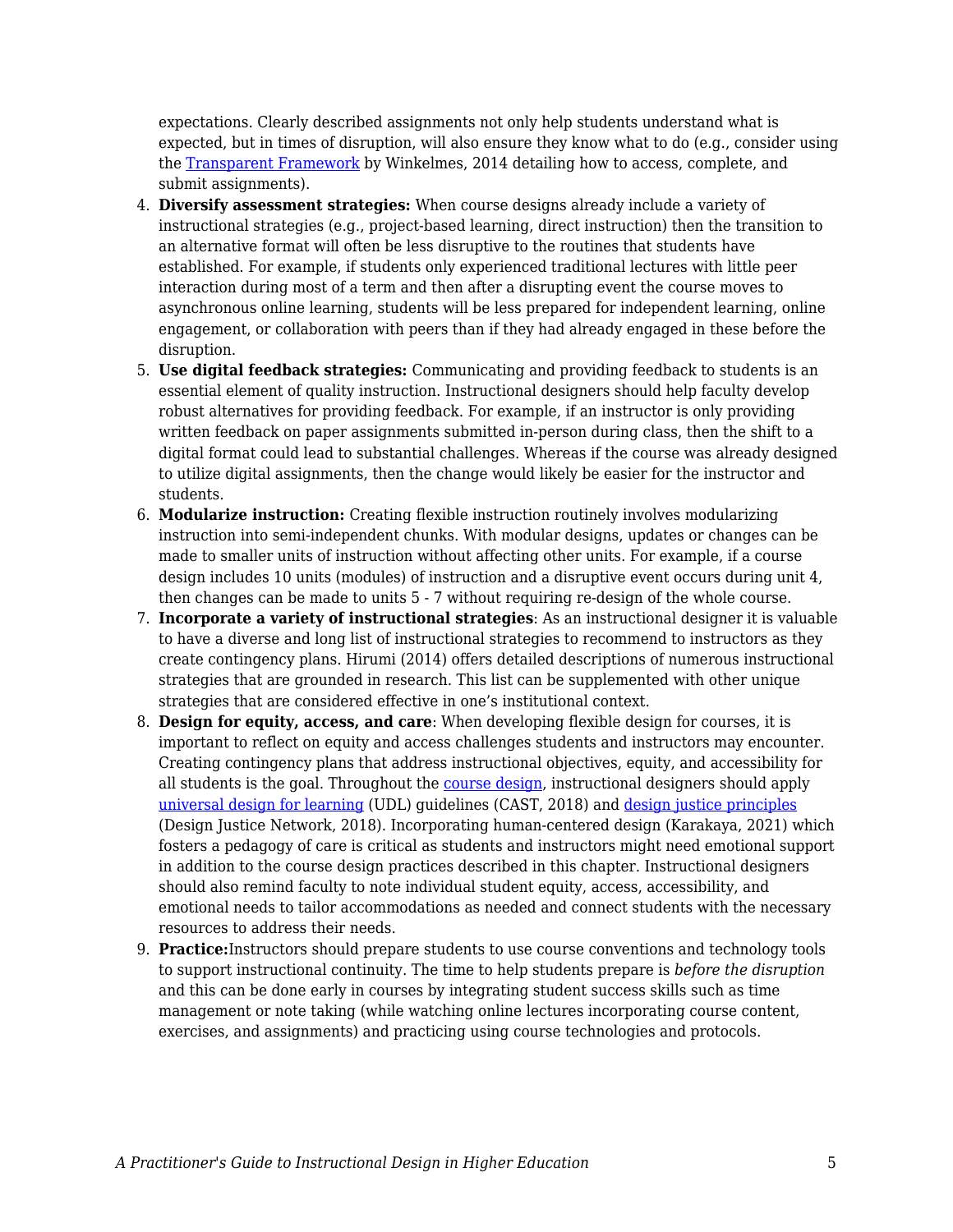expectations. Clearly described assignments not only help students understand what is expected, but in times of disruption, will also ensure they know what to do (e.g., consider using the [Transparent Framework](https://tilthighered.com/tiltexamplesandresources) by Winkelmes, 2014 detailing how to access, complete, and submit assignments).

- 4. **Diversify assessment strategies:** When course designs already include a variety of instructional strategies (e.g., project-based learning, direct instruction) then the transition to an alternative format will often be less disruptive to the routines that students have established. For example, if students only experienced traditional lectures with little peer interaction during most of a term and then after a disrupting event the course moves to asynchronous online learning, students will be less prepared for independent learning, online engagement, or collaboration with peers than if they had already engaged in these before the disruption.
- 5. **Use digital feedback strategies:** Communicating and providing feedback to students is an essential element of quality instruction. Instructional designers should help faculty develop robust alternatives for providing feedback. For example, if an instructor is only providing written feedback on paper assignments submitted in-person during class, then the shift to a digital format could lead to substantial challenges. Whereas if the course was already designed to utilize digital assignments, then the change would likely be easier for the instructor and students.
- 6. **Modularize instruction:** Creating flexible instruction routinely involves modularizing instruction into semi-independent chunks. With modular designs, updates or changes can be made to smaller units of instruction without affecting other units. For example, if a course design includes 10 units (modules) of instruction and a disruptive event occurs during unit 4, then changes can be made to units 5 - 7 without requiring re-design of the whole course.
- 7. **Incorporate a variety of instructional strategies**: As an instructional designer it is valuable to have a diverse and long list of instructional strategies to recommend to instructors as they create contingency plans. Hirumi (2014) offers detailed descriptions of numerous instructional strategies that are grounded in research. This list can be supplemented with other unique strategies that are considered effective in one's institutional context.
- 8. **Design for equity, access, and care**: When developing flexible design for courses, it is important to reflect on equity and access challenges students and instructors may encounter. Creating contingency plans that address instructional objectives, equity, and accessibility for all students is the goal. Throughout the [course design,](http://udloncampus.cast.org/page/planning_landing) instructional designers should apply [universal design for learning](http://udlguidelines.cast.org/) (UDL) guidelines (CAST, 2018) and [design justice principles](https://designjustice.org/read-the-principles) (Design Justice Network, 2018). Incorporating human-centered design (Karakaya, 2021) which fosters a pedagogy of care is critical as students and instructors might need emotional support in addition to the course design practices described in this chapter. Instructional designers should also remind faculty to note individual student equity, access, accessibility, and emotional needs to tailor accommodations as needed and connect students with the necessary resources to address their needs.
- 9. **Practice:**Instructors should prepare students to use course conventions and technology tools to support instructional continuity. The time to help students prepare is *before the disruption* and this can be done early in courses by integrating student success skills such as time management or note taking (while watching online lectures incorporating course content, exercises, and assignments) and practicing using course technologies and protocols.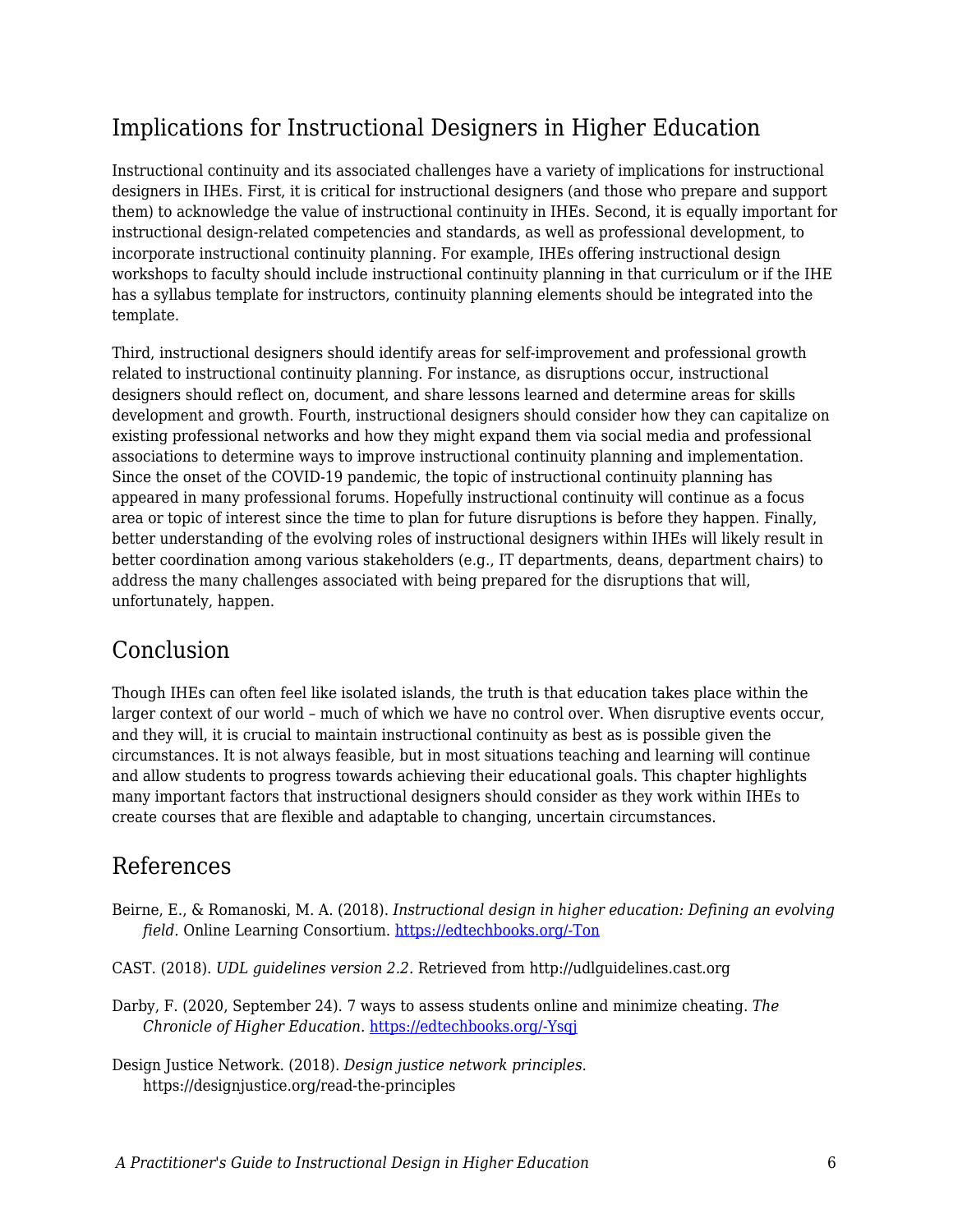# Implications for Instructional Designers in Higher Education

Instructional continuity and its associated challenges have a variety of implications for instructional designers in IHEs. First, it is critical for instructional designers (and those who prepare and support them) to acknowledge the value of instructional continuity in IHEs. Second, it is equally important for instructional design-related competencies and standards, as well as professional development, to incorporate instructional continuity planning. For example, IHEs offering instructional design workshops to faculty should include instructional continuity planning in that curriculum or if the IHE has a syllabus template for instructors, continuity planning elements should be integrated into the template.

Third, instructional designers should identify areas for self-improvement and professional growth related to instructional continuity planning. For instance, as disruptions occur, instructional designers should reflect on, document, and share lessons learned and determine areas for skills development and growth. Fourth, instructional designers should consider how they can capitalize on existing professional networks and how they might expand them via social media and professional associations to determine ways to improve instructional continuity planning and implementation. Since the onset of the COVID-19 pandemic, the topic of instructional continuity planning has appeared in many professional forums. Hopefully instructional continuity will continue as a focus area or topic of interest since the time to plan for future disruptions is before they happen. Finally, better understanding of the evolving roles of instructional designers within IHEs will likely result in better coordination among various stakeholders (e.g., IT departments, deans, department chairs) to address the many challenges associated with being prepared for the disruptions that will, unfortunately, happen.

### Conclusion

Though IHEs can often feel like isolated islands, the truth is that education takes place within the larger context of our world – much of which we have no control over. When disruptive events occur, and they will, it is crucial to maintain instructional continuity as best as is possible given the circumstances. It is not always feasible, but in most situations teaching and learning will continue and allow students to progress towards achieving their educational goals. This chapter highlights many important factors that instructional designers should consider as they work within IHEs to create courses that are flexible and adaptable to changing, uncertain circumstances.

### References

- Beirne, E., & Romanoski, M. A. (2018). *Instructional design in higher education: Defining an evolving field.* Online Learning Consortium. [https://edtechbooks.org/-Ton](https://olc-wordpress-assets.s3.amazonaws.com/uploads/2018/07/Instructional-Design-in-Higher-Education-Defining-an-Evolving-Field.pdf)
- CAST. (2018). *UDL guidelines version 2.2.* Retrieved from http://udlguidelines.cast.org
- Darby, F. (2020, September 24). 7 ways to assess students online and minimize cheating. *The Chronicle of Higher Education.* [https://edtechbooks.org/-Ysqj](https://www.chronicle.com/article/7-ways-to-assess-students-online-and-minimize-cheating)
- Design Justice Network. (2018). *Design justice network principles*. https://designjustice.org/read-the-principles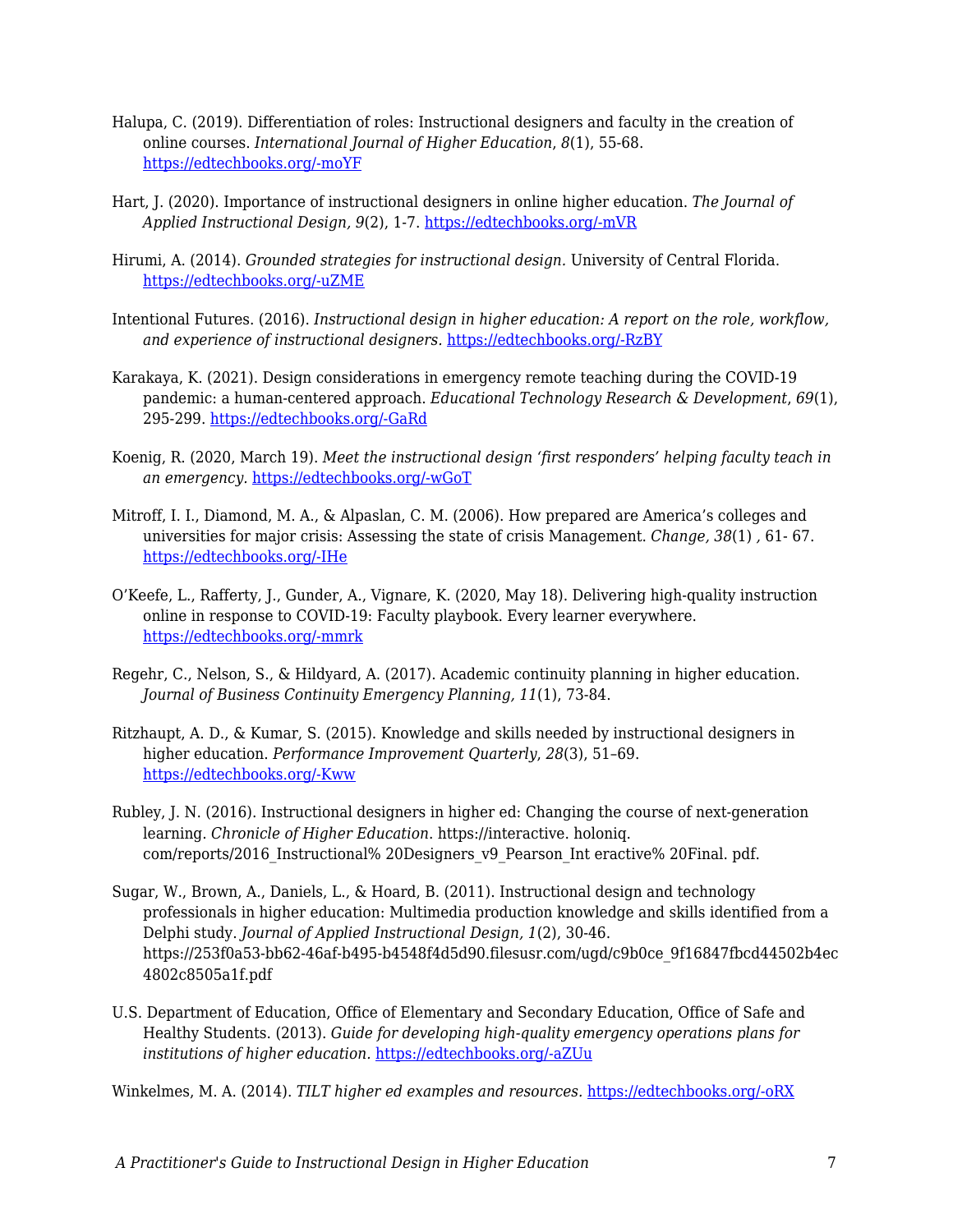- Halupa, C. (2019). Differentiation of roles: Instructional designers and faculty in the creation of online courses. *International Journal of Higher Education*, *8*(1), 55-68. [https://edtechbooks.org/-moYF](https://doi.org/10.5430/ijhe.v8n1p55)
- Hart, J. (2020). Importance of instructional designers in online higher education. *The Journal of Applied Instructional Design, 9*(2), 1-7. [https://edtechbooks.org/-mVR](https://edtechbooks.org/jaid_9_2/important_of_instruc)
- Hirumi, A. (2014). *Grounded strategies for instructional design.* University of Central Florida. [https://edtechbooks.org/-uZME](http://rhartshorne.com/fall-2017/RachelEnglish320/eportfolio/res/Grounded%20Strategies_2014_0309.pdf)
- Intentional Futures. (2016). *Instructional design in higher education: A report on the role, workflow, and experience of instructional designers.* [https://edtechbooks.org/-RzBY](https://intentionalfutures.com/static/instructional-design-in-higher-education-report-5129d9d1e6c988c254567f91f3ab0d2c.pdf)
- Karakaya, K. (2021). Design considerations in emergency remote teaching during the COVID-19 pandemic: a human-centered approach. *Educational Technology Research & Development*, *69*(1), 295-299. [https://edtechbooks.org/-GaRd](https://doi.org/10.1007/s11423-020-09884-0)
- Koenig, R. (2020, March 19). *Meet the instructional design 'first responders' helping faculty teach in an emergency.* [https://edtechbooks.org/-wGoT](https://www.edsurge.com/news/2020-03-19-meet-the-instructional-design-first-responders-helping-faculty-teach-in-an-emergency)
- Mitroff, I. I., Diamond, M. A., & Alpaslan, C. M. (2006). How prepared are America's colleges and universities for major crisis: Assessing the state of crisis Management. *Change, 38*(1) *,* 61- 67. [https://edtechbooks.org/-IHe](https://doi.org/10.3200/CHNG.38.1.61-67)
- O'Keefe, L., Rafferty, J., Gunder, A., Vignare, K. (2020, May 18). Delivering high-quality instruction online in response to COVID-19: Faculty playbook. Every learner everywhere. [https://edtechbooks.org/-mmrk](http://www.everylearnereverywhere.org/resources)
- Regehr, C., Nelson, S., & Hildyard, A. (2017). Academic continuity planning in higher education. *Journal of Business Continuity Emergency Planning, 11*(1), 73-84.
- Ritzhaupt, A. D., & Kumar, S. (2015). Knowledge and skills needed by instructional designers in higher education. *Performance Improvement Quarterly*, *28*(3), 51–69. [https://edtechbooks.org/-Kww](https://doi.org/10.1002/piq.21196)
- Rubley, J. N. (2016). Instructional designers in higher ed: Changing the course of next-generation learning. *Chronicle of Higher Education*. https://interactive. holoniq. com/reports/2016 Instructional% 20Designers v9 Pearson Int eractive% 20Final. pdf.
- Sugar, W., Brown, A., Daniels, L., & Hoard, B. (2011). Instructional design and technology professionals in higher education: Multimedia production knowledge and skills identified from a Delphi study. *Journal of Applied Instructional Design, 1*(2), 30-46. https://253f0a53-bb62-46af-b495-b4548f4d5d90.filesusr.com/ugd/c9b0ce\_9f16847fbcd44502b4ec 4802c8505a1f.pdf
- U.S. Department of Education, Office of Elementary and Secondary Education, Office of Safe and Healthy Students. (2013). *Guide for developing high-quality emergency operations plans for institutions of higher education.* [https://edtechbooks.org/-aZUu](https://rems.ed.gov/docs/REMS_IHE_Guide_508.pdf)

Winkelmes, M. A. (2014). *TILT higher ed examples and resources.* [https://edtechbooks.org/-oRX](https://tilthighered.com/tiltexamplesandresources)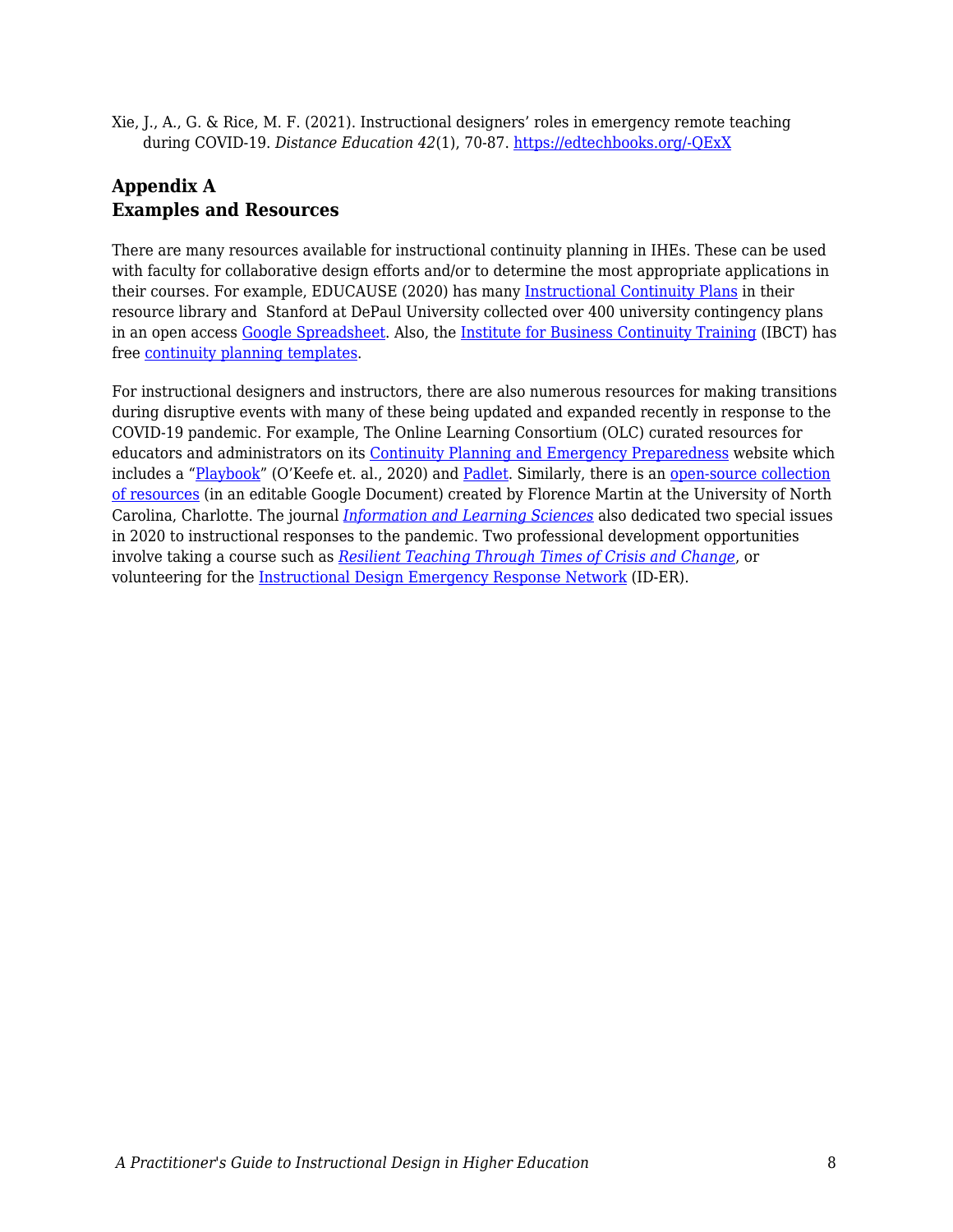Xie, J., A., G. & Rice, M. F. (2021). Instructional designers' roles in emergency remote teaching during COVID-19. *Distance Education 42*(1), 70-87. [https://edtechbooks.org/-QExX](https://doi.org/10.1080/01587919.2020.1869526)

### **Appendix A Examples and Resources**

There are many resources available for instructional continuity planning in IHEs. These can be used with faculty for collaborative design efforts and/or to determine the most appropriate applications in their courses. For example, EDUCAUSE (2020) has many [Instructional Continuity Plans](https://library.educause.edu/resources/2020/6/instructional-continuity-plans) in their resource library and Stanford at DePaul University collected over 400 university contingency plans in an open access [Google Spreadsheet.](https://docs.google.com/spreadsheets/d/1VT9oiNYPyiEsGHBoDKlwLlWAsWP58sGV7A3oIuEUG3k/edit#gid=1552188977) Also, the [Institute for Business Continuity Training](https://www.ibct.net/) (IBCT) has free [continuity planning templates.](https://www.ibct.net/BCP-Files/Templates/)

For instructional designers and instructors, there are also numerous resources for making transitions during disruptive events with many of these being updated and expanded recently in response to the COVID-19 pandemic. For example, The Online Learning Consortium (OLC) curated resources for educators and administrators on its [Continuity Planning and Emergency Preparedness](https://onlinelearningconsortium.org/about/continuity-planning-emergency-preparedness-resources/) website which includes a "[Playbook](http://olc-wordpress-assets.s3.amazonaws.com/uploads/2020/05/Faculty-Playbook_Final-1.pdf)" (O'Keefe et. al., 2020) and [Padlet.](https://padlet.com/OLCInstitute/continuityplan) Similarly, there is an [open-source collection](https://bit.ly/2vTtklX) [of resources](https://bit.ly/2vTtklX) (in an editable Google Document) created by Florence Martin at the University of North Carolina, Charlotte. The journal *[Information and Learning Sciences](https://www.emerald.com/insight/publication/issn/2398-5348?_ga=2.176878893.967372410.1602460873-1929071766.1602460873)* also dedicated two special issues in 2020 to instructional responses to the pandemic. Two professional development opportunities involve taking a course such as *[Resilient Teaching Through Times of Crisis and Change](https://www.coursera.org/learn/resilient-teaching-through-times-of-crisis)*, or volunteering for the [Instructional Design Emergency Response Network](https://www.idernetwork.com/) (ID-ER).